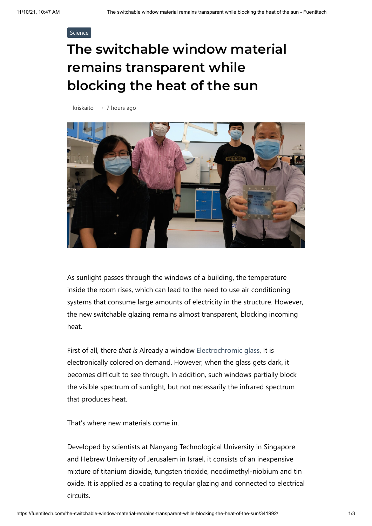## [Science](https://fuentitech.com/category/science/)

## **The switchable window material remains transparent while blocking the heat of the sun**

[kriskaito](https://fuentitech.com/author/kriskaito/) • 7 hours ago



As sunlight passes through the windows of a building, the temperature inside the room rises, which can lead to the need to use air conditioning systems that consume large amounts of electricity in the structure. However, the new switchable glazing remains almost transparent, blocking incoming heat.

First of all, there *that is* Already a window [Electrochromic glass](https://newatlas.com/materials/smart-windows-thermochromic-tinting-photovoltaic-solar-cells/), It is electronically colored on demand. However, when the glass gets dark, it becomes difficult to see through. In addition, such windows partially block the visible spectrum of sunlight, but not necessarily the infrared spectrum that produces heat.

That's where new materials come in.

Developed by scientists at Nanyang Technological University in Singapore and Hebrew University of Jerusalem in Israel, it consists of an inexpensive mixture of titanium dioxide, tungsten trioxide, neodimethyl-niobium and tin oxide. It is applied as a coating to regular glazing and connected to electrical circuits.